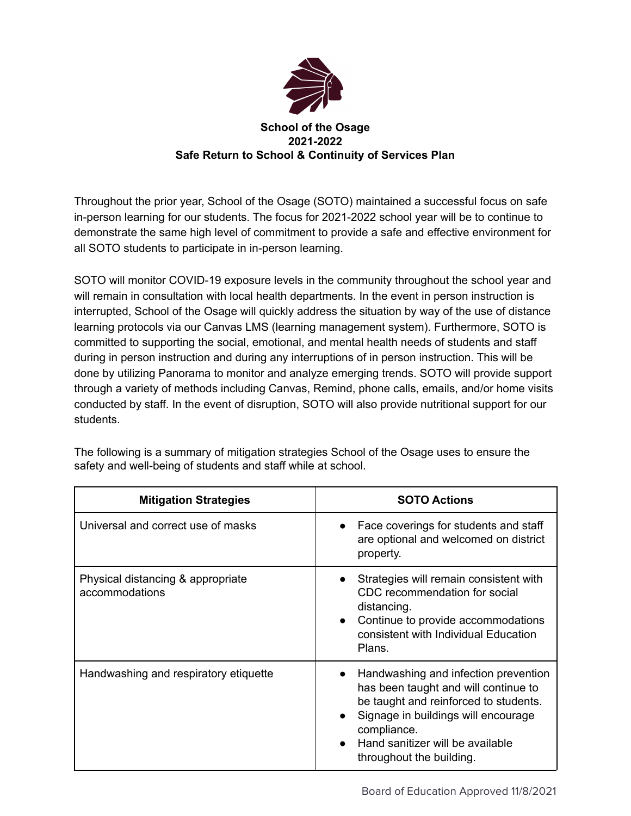

## **School of the Osage 2021-2022 Safe Return to School & Continuity of Services Plan**

Throughout the prior year, School of the Osage (SOTO) maintained a successful focus on safe in-person learning for our students. The focus for 2021-2022 school year will be to continue to demonstrate the same high level of commitment to provide a safe and effective environment for all SOTO students to participate in in-person learning.

SOTO will monitor COVID-19 exposure levels in the community throughout the school year and will remain in consultation with local health departments. In the event in person instruction is interrupted, School of the Osage will quickly address the situation by way of the use of distance learning protocols via our Canvas LMS (learning management system). Furthermore, SOTO is committed to supporting the social, emotional, and mental health needs of students and staff during in person instruction and during any interruptions of in person instruction. This will be done by utilizing Panorama to monitor and analyze emerging trends. SOTO will provide support through a variety of methods including Canvas, Remind, phone calls, emails, and/or home visits conducted by staff. In the event of disruption, SOTO will also provide nutritional support for our students.

| <b>Mitigation Strategies</b>                        | <b>SOTO Actions</b>                                                                                                                                                                                                                                                                |
|-----------------------------------------------------|------------------------------------------------------------------------------------------------------------------------------------------------------------------------------------------------------------------------------------------------------------------------------------|
| Universal and correct use of masks                  | Face coverings for students and staff<br>$\bullet$<br>are optional and welcomed on district<br>property.                                                                                                                                                                           |
| Physical distancing & appropriate<br>accommodations | Strategies will remain consistent with<br>$\bullet$<br>CDC recommendation for social<br>distancing.<br>Continue to provide accommodations<br>$\bullet$<br>consistent with Individual Education<br>Plans.                                                                           |
| Handwashing and respiratory etiquette               | Handwashing and infection prevention<br>$\bullet$<br>has been taught and will continue to<br>be taught and reinforced to students.<br>Signage in buildings will encourage<br>$\bullet$<br>compliance.<br>Hand sanitizer will be available<br>$\bullet$<br>throughout the building. |

The following is a summary of mitigation strategies School of the Osage uses to ensure the safety and well-being of students and staff while at school.